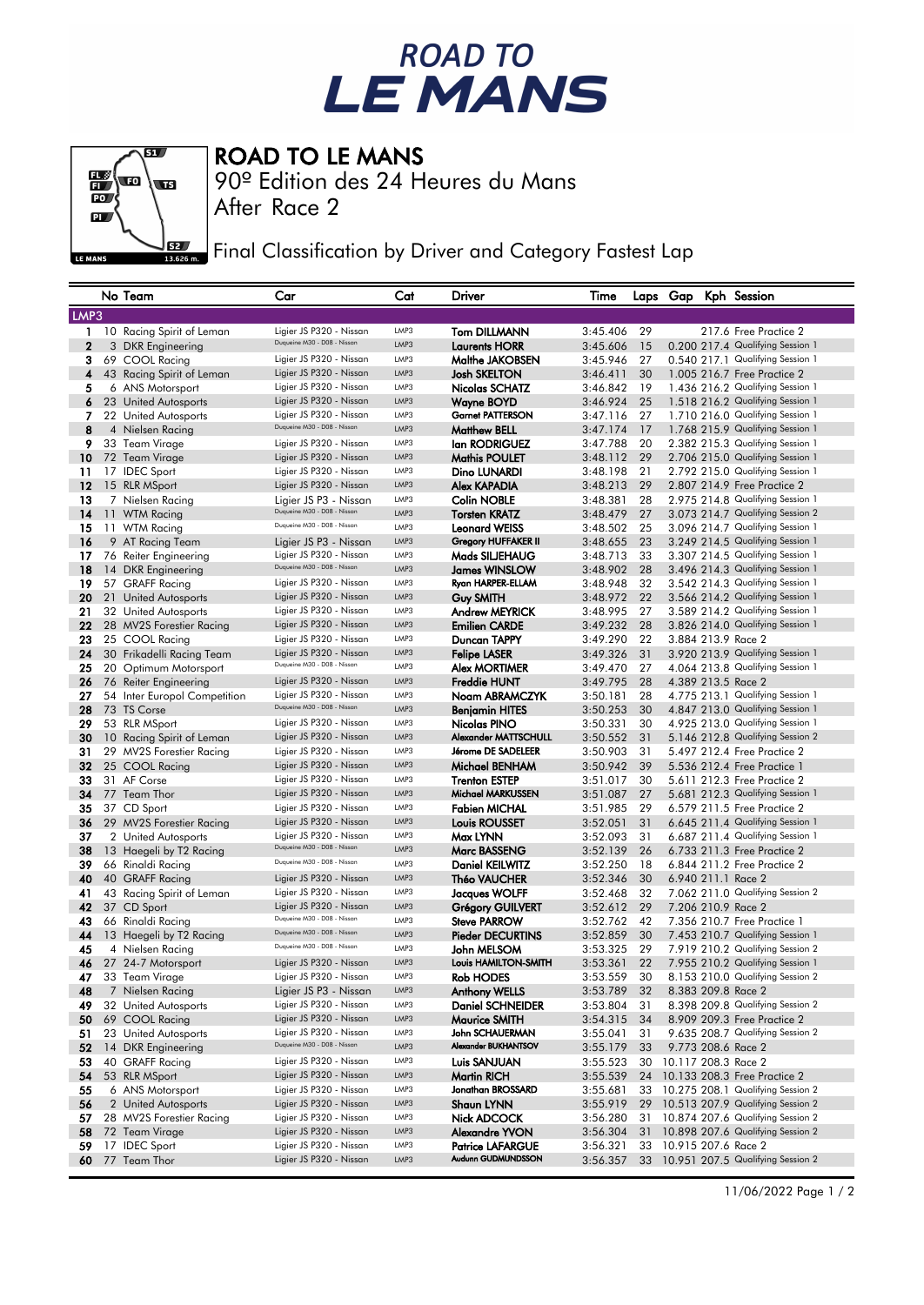## ROAD TO<br>LE MANS



ROAD TO LE MANS

90º Edition des 24 Heures du Mans

After Race 2

Final Classification by Driver and Category Fastest Lap

|                | No Team                                 | Car                                                        | Cat          | Driver                                  | Time                 |          |  | Laps Gap Kph Session                                                    |
|----------------|-----------------------------------------|------------------------------------------------------------|--------------|-----------------------------------------|----------------------|----------|--|-------------------------------------------------------------------------|
| LMP3           |                                         |                                                            |              |                                         |                      |          |  |                                                                         |
| 1              | 10 Racing Spirit of Leman               | Ligier JS P320 - Nissan                                    | LMP3         | <b>Tom DILLMANN</b>                     | 3:45.406             | 29       |  | 217.6 Free Practice 2                                                   |
| $\overline{2}$ | 3 DKR Engineering                       | Duqueine M30 - D08 - Nissan                                | LMP3         | <b>Laurents HORR</b>                    | 3:45.606             | 15       |  | 0.200 217.4 Qualifying Session 1                                        |
| 3              | 69 COOL Racing                          | Ligier JS P320 - Nissan                                    | LMP3         | Malthe JAKOBSEN                         | 3:45.946             | 27       |  | 0.540 217.1 Qualifying Session 1                                        |
| 4              | 43 Racing Spirit of Leman               | Ligier JS P320 - Nissan                                    | LMP3         | Josh SKELTON                            | 3:46.411             | 30       |  | 1.005 216.7 Free Practice 2                                             |
| 5              | 6 ANS Motorsport                        | Ligier JS P320 - Nissan                                    | LMP3         | Nicolas SCHATZ                          | 3:46.842             | 19       |  | 1.436 216.2 Qualifying Session 1                                        |
| 6              | 23 United Autosports                    | Ligier JS P320 - Nissan                                    | LMP3         | <b>Wayne BOYD</b>                       | 3:46.924             | 25       |  | 1.518 216.2 Qualifying Session 1                                        |
| 7              | 22 United Autosports                    | Ligier JS P320 - Nissan                                    | LMP3         | <b>Garnet PATTERSON</b>                 | 3:47.116             | 27       |  | 1.710 216.0 Qualifying Session 1                                        |
| 8              | 4 Nielsen Racing                        | Duqueine M30 - D08 - Nissan                                | LMP3         | <b>Matthew BELL</b>                     | 3:47.174             | 17       |  | 1.768 215.9 Qualifying Session 1                                        |
| 9              | 33 Team Virage                          | Ligier JS P320 - Nissan                                    | LMP3         | lan RODRIGUEZ                           | 3:47.788             | 20       |  | 2.382 215.3 Qualifying Session 1                                        |
| 10             | 72 Team Virage                          | Ligier JS P320 - Nissan                                    | LMP3         | <b>Mathis POULET</b>                    | 3:48.112             | 29       |  | 2.706 215.0 Qualifying Session 1                                        |
| 11             | 17 IDEC Sport                           | Ligier JS P320 - Nissan                                    | LMP3         | Dino LUNARDI                            | 3:48.198             | 21       |  | 2.792 215.0 Qualifying Session 1                                        |
| 12             | 15 RLR MSport                           | Ligier JS P320 - Nissan                                    | LMP3         | <b>Alex KAPADIA</b>                     | 3:48.213             | 29       |  | 2.807 214.9 Free Practice 2                                             |
| 13             | 7 Nielsen Racing                        | Ligier JS P3 - Nissan                                      | LMP3         | <b>Colin NOBLE</b>                      | 3:48.381             | 28       |  | 2.975 214.8 Qualifying Session 1                                        |
| 14             | 11 WTM Racing                           | Duqueine M30 - D08 - Nissan                                | LMP3         | <b>Torsten KRATZ</b>                    | 3:48.479             | 27       |  | 3.073 214.7 Qualifying Session 2                                        |
| 15             | 11 WTM Racing                           | Duqueine M30 - D08 - Nissan                                | LMP3         | <b>Leonard WEISS</b>                    | 3:48.502             | 25       |  | 3.096 214.7 Qualifying Session 1                                        |
| 16             | 9 AT Racing Team                        | Ligier JS P3 - Nissan                                      | LMP3         | <b>Gregory HUFFAKER II</b>              | 3:48.655             | 23       |  | 3.249 214.5 Qualifying Session 1                                        |
| 17             | 76 Reiter Engineering                   | Ligier JS P320 - Nissan                                    | LMP3         | Mads SILJEHAUG                          | 3:48.713             | 33       |  | 3.307 214.5 Qualifying Session 1                                        |
| 18             | 14 DKR Engineering                      | Duqueine M30 - D08 - Nissan                                | LMP3         | James WINSLOW                           | 3:48.902             | 28       |  | 3.496 214.3 Qualifying Session 1                                        |
| 19             | 57 GRAFF Racing                         | Ligier JS P320 - Nissan                                    | LMP3         | Ryan HARPER-ELLAM                       | 3:48.948             | 32       |  | 3.542 214.3 Qualifying Session 1                                        |
| 20             | 21 United Autosports                    | Ligier JS P320 - Nissan                                    | LMP3         | Guy SMITH                               | 3:48.972             | 22       |  | 3.566 214.2 Qualifying Session 1                                        |
| 21             | 32 United Autosports                    | Ligier JS P320 - Nissan                                    | LMP3         | <b>Andrew MEYRICK</b>                   | 3:48.995             | 27       |  | 3.589 214.2 Qualifying Session 1                                        |
| 22             | 28 MV2S Forestier Racing                | Ligier JS P320 - Nissan                                    | LMP3         | <b>Emilien CARDE</b>                    | 3:49.232             | 28       |  | 3.826 214.0 Qualifying Session 1                                        |
| 23             | 25 COOL Racing                          | Ligier JS P320 - Nissan                                    | LMP3         | Duncan TAPPY                            | 3:49.290             | 22       |  | 3.884 213.9 Race 2                                                      |
| 24             | 30 Frikadelli Racing Team               | Ligier JS P320 - Nissan                                    | LMP3         | <b>Felipe LASER</b>                     | 3:49.326             | 31       |  | 3.920 213.9 Qualifying Session 1                                        |
| 25             | 20 Optimum Motorsport                   | Duqueine M30 - D08 - Nissan                                | LMP3         | <b>Alex MORTIMER</b>                    | 3:49.470             | 27       |  | 4.064 213.8 Qualifying Session 1                                        |
| 26             | 76 Reiter Engineering                   | Ligier JS P320 - Nissan                                    | LMP3         | <b>Freddie HUNT</b>                     | 3:49.795             | 28       |  | 4.389 213.5 Race 2                                                      |
| 27             | 54 Inter Europol Competition            | Ligier JS P320 - Nissan                                    | LMP3         | Noam ABRAMCZYK                          | 3:50.181             | 28       |  | 4.775 213.1 Qualifying Session 1                                        |
| 28             | 73 TS Corse                             | Duqueine M30 - D08 - Nissan                                | LMP3         | <b>Benjamin HITES</b>                   | 3:50.253             | 30       |  | 4.847 213.0 Qualifying Session 1                                        |
| 29             | 53 RLR MSport                           | Ligier JS P320 - Nissan                                    | LMP3         | Nicolas PINO                            | 3:50.331             | 30       |  | 4.925 213.0 Qualifying Session 1                                        |
| 30             | 10 Racing Spirit of Leman               | Ligier JS P320 - Nissan                                    | LMP3         | Alexander MATTSCHULL                    | 3:50.552             | 31       |  | 5.146 212.8 Qualifying Session 2                                        |
| 31             | 29 MV2S Forestier Racing                | Ligier JS P320 - Nissan                                    | LMP3         | Jérome DE SADELEER                      | 3:50.903             | 31       |  | 5.497 212.4 Free Practice 2                                             |
| 32             | 25 COOL Racing                          | Ligier JS P320 - Nissan                                    | LMP3         | Michael BENHAM                          | 3:50.942             | 39       |  | 5.536 212.4 Free Practice 1                                             |
| 33             | 31 AF Corse                             | Ligier JS P320 - Nissan                                    | LMP3         | <b>Trenton ESTEP</b>                    | 3:51.017             | 30       |  | 5.611 212.3 Free Practice 2                                             |
| 34             | 77 Team Thor                            | Ligier JS P320 - Nissan                                    | LMP3         | <b>Michael MARKUSSEN</b>                | 3:51.087             | 27       |  | 5.681 212.3 Qualifying Session 1                                        |
| 35             | 37 CD Sport                             | Ligier JS P320 - Nissan                                    | LMP3         | <b>Fabien MICHAL</b>                    | 3:51.985             | 29       |  | 6.579 211.5 Free Practice 2                                             |
| 36             | 29 MV2S Forestier Racing                | Ligier JS P320 - Nissan                                    | LMP3         | Louis ROUSSET                           | 3:52.051             | 31       |  | 6.645 211.4 Qualifying Session 1                                        |
| 37             | 2 United Autosports                     | Ligier JS P320 - Nissan                                    | LMP3         | Max LYNN                                | 3:52.093             | 31       |  | 6.687 211.4 Qualifying Session 1                                        |
| 38             | 13 Haegeli by T2 Racing                 | Duqueine M30 - D08 - Nissan<br>Duqueine M30 - D08 - Nissan | LMP3         | <b>Marc BASSENG</b>                     | 3:52.139             | 26       |  | 6.733 211.3 Free Practice 2                                             |
| 39             | 66 Rinaldi Racing                       |                                                            | LMP3         | <b>Daniel KEILWITZ</b>                  | 3:52.250             | 18       |  | 6.844 211.2 Free Practice 2                                             |
| 40             | 40 GRAFF Racing                         | Ligier JS P320 - Nissan                                    | LMP3         | Théo VAUCHER                            | 3:52.346             | 30       |  | 6.940 211.1 Race 2                                                      |
| 41             | 43 Racing Spirit of Leman               | Ligier JS P320 - Nissan                                    | LMP3         | <b>Jacques WOLFF</b>                    | 3:52.468             | 32       |  | 7.062 211.0 Qualifying Session 2                                        |
| 42             | 37 CD Sport                             | Ligier JS P320 - Nissan<br>Duqueine M30 - D08 - Nissan     | LMP3         | <b>Grégory GUILVERT</b>                 | 3:52.612             | 29       |  | 7.206 210.9 Race 2                                                      |
| 43             | 66 Rinaldi Racing                       | Duqueine M30 - D08 - Nissan                                | LMP3<br>LMP3 | <b>Steve PARROW</b>                     | 3:52.762             | 42       |  | 7.356 210.7 Free Practice 1                                             |
| 44             | 13 Haegeli by T2 Racing                 | Duqueine M30 - D08 - Nissan                                | LMP3         | <b>Pieder DECURTINS</b>                 | 3:52.859             | 30       |  | 7.453 210.7 Qualifying Session 1                                        |
| 45             | 4 Nielsen Racing                        |                                                            | LMP3         | John MELSOM                             | 3:53.325             | 29       |  | 7.919 210.2 Qualifying Session 2                                        |
| 46             | 27 24-7 Motorsport                      | Ligier JS P320 - Nissan<br>Ligier JS P320 - Nissan         | LMP3         | Louis HAMILTON-SMITH                    | 3:53.361             | 22       |  | 7.955 210.2 Qualifying Session 1                                        |
| 47             | 33 Team Virage                          |                                                            | LMP3         | <b>Rob HODES</b>                        | 3:53.559             | 30       |  | 8.153 210.0 Qualifying Session 2                                        |
| 48             | 7 Nielsen Racing                        | Ligier JS P3 - Nissan                                      | LMP3         | <b>Anthony WELLS</b>                    | 3:53.789             | -32      |  | 8.383 209.8 Race 2                                                      |
| 49             | 32 United Autosports                    | Ligier JS P320 - Nissan<br>Ligier JS P320 - Nissan         | LMP3         | <b>Daniel SCHNEIDER</b>                 | 3:53.804             | 31       |  | 8.398 209.8 Qualifying Session 2                                        |
| 50             | 69 COOL Racing                          | Ligier JS P320 - Nissan                                    | LMP3         | <b>Maurice SMITH</b><br>John SCHAUERMAN | 3:54.315             | 34       |  | 8.909 209.3 Free Practice 2                                             |
| 51<br>52       | 23 United Autosports                    | Duqueine M30 - D08 - Nissan                                | LMP3         | Alexander BUKHANTSOV                    | 3:55.041             | 31<br>33 |  | 9.635 208.7 Qualifying Session 2<br>9.773 208.6 Race 2                  |
|                | 14 DKR Engineering                      | Ligier JS P320 - Nissan                                    | LMP3         |                                         | 3:55.179<br>3:55.523 |          |  |                                                                         |
| 53             | 40 GRAFF Racing                         | Ligier JS P320 - Nissan                                    | LMP3         | Luis SANJUAN                            |                      | 30       |  | 10.117 208.3 Race 2                                                     |
| 54             | 53 RLR MSport                           | Ligier JS P320 - Nissan                                    | LMP3         | <b>Martin RICH</b><br>Jonathan BROSSARD | 3:55.539             |          |  | 24 10.133 208.3 Free Practice 2<br>33 10.275 208.1 Qualifying Session 2 |
| 55             | 6 ANS Motorsport<br>2 United Autosports | Ligier JS P320 - Nissan                                    | LMP3         | <b>Shaun LYNN</b>                       | 3:55.681             |          |  | 29 10.513 207.9 Qualifying Session 2                                    |
| 56             |                                         | Ligier JS P320 - Nissan                                    | LMP3         | Nick ADCOCK                             | 3:55.919<br>3:56.280 |          |  | 31 10.874 207.6 Qualifying Session 2                                    |
| 57<br>58       | 28 MV2S Forestier Racing                | Ligier JS P320 - Nissan                                    | LMP3         | Alexandre YVON                          |                      |          |  | 31 10.898 207.6 Qualifying Session 2                                    |
| 59             | 72 Team Virage<br>17 IDEC Sport         | Ligier JS P320 - Nissan                                    | LMP3         | <b>Patrice LAFARGUE</b>                 | 3:56.304<br>3:56.321 |          |  | 33 10.915 207.6 Race 2                                                  |
| 60             | 77 Team Thor                            | Ligier JS P320 - Nissan                                    | LMP3         | Audunn GUDMUNDSSON                      | 3:56.357             |          |  | 33 10.951 207.5 Qualifying Session 2                                    |
|                |                                         |                                                            |              |                                         |                      |          |  |                                                                         |

11/06/2022 Page 1 / 2